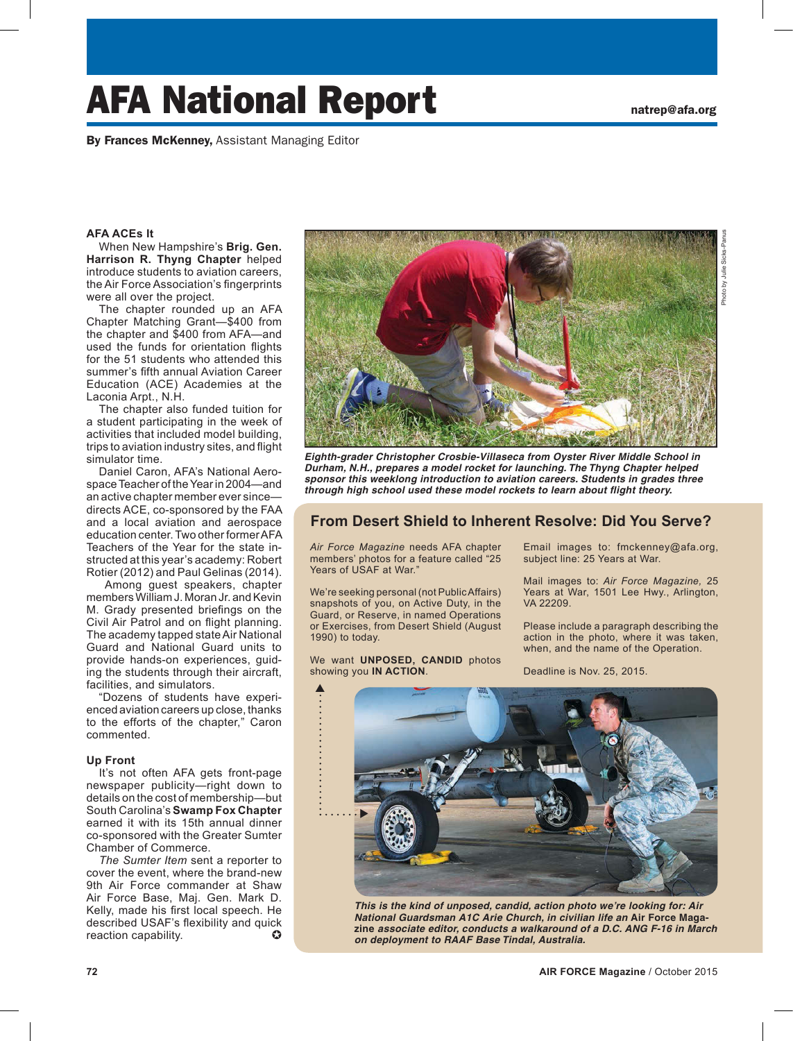# AFA National Report **national** and  $\mathbf{R}$

By Frances McKenney, Assistant Managing Editor

### **AFA ACEs It**

When New Hampshire's **Brig. Gen. Harrison R. Thyng Chapter** helped introduce students to aviation careers, the Air Force Association's fingerprints were all over the project.

The chapter rounded up an AFA Chapter Matching Grant—\$400 from the chapter and \$400 from AFA—and used the funds for orientation flights for the 51 students who attended this summer's fifth annual Aviation Career Education (ACE) Academies at the Laconia Arpt., N.H.

The chapter also funded tuition for a student participating in the week of activities that included model building, trips to aviation industry sites, and flight simulator time.

Daniel Caron, AFA's National Aerospace Teacher of the Year in 2004—and an active chapter member ever since directs ACE, co-sponsored by the FAA and a local aviation and aerospace education center. Two other former AFA Teachers of the Year for the state instructed at this year's academy: Robert Rotier (2012) and Paul Gelinas (2014).

 Among guest speakers, chapter members William J. Moran Jr. and Kevin M. Grady presented briefings on the Civil Air Patrol and on flight planning. The academy tapped state Air National Guard and National Guard units to provide hands-on experiences, guiding the students through their aircraft, facilities, and simulators.

"Dozens of students have experienced aviation careers up close, thanks to the efforts of the chapter," Caron commented.

#### **Up Front**

It's not often AFA gets front-page newspaper publicity—right down to details on the cost of membership—but South Carolina's **Swamp Fox Chapter** earned it with its 15th annual dinner co-sponsored with the Greater Sumter Chamber of Commerce.

*The Sumter Item* sent a reporter to cover the event, where the brand-new 9th Air Force commander at Shaw Air Force Base, Maj. Gen. Mark D. Kelly, made his first local speech. He described USAF's flexibility and quick reaction capability.  $\bullet$ 



*Eighth-grader Christopher Crosbie-Villaseca from Oyster River Middle School in Durham, N.H., prepares a model rocket for launching. The Thyng Chapter helped sponsor this weeklong introduction to aviation careers. Students in grades three through high school used these model rockets to learn about flight theory.* 

## **From Desert Shield to Inherent Resolve: Did You Serve?**

*Air Force Magazine* needs AFA chapter members' photos for a feature called "25 Years of USAF at War."

We're seeking personal (not Public Affairs) snapshots of you, on Active Duty, in the Guard, or Reserve, in named Operations or Exercises, from Desert Shield (August 1990) to today.

We want **UNPOSED, CANDID** photos showing you **IN ACTION**.

Email images to: fmckenney@afa.org, subject line: 25 Years at War.

Mail images to: *Air Force Magazine,* 25 Years at War, 1501 Lee Hwy., Arlington, VA 22209.

Please include a paragraph describing the action in the photo, where it was taken, when, and the name of the Operation.

Deadline is Nov. 25, 2015.



*This is the kind of unposed, candid, action photo we're looking for: Air National Guardsman A1C Arie Church, in civilian life an* **Air Force Magazine** *associate editor, conducts a walkaround of a D.C. ANG F-16 in March on deployment to RAAF Base Tindal, Australia.*